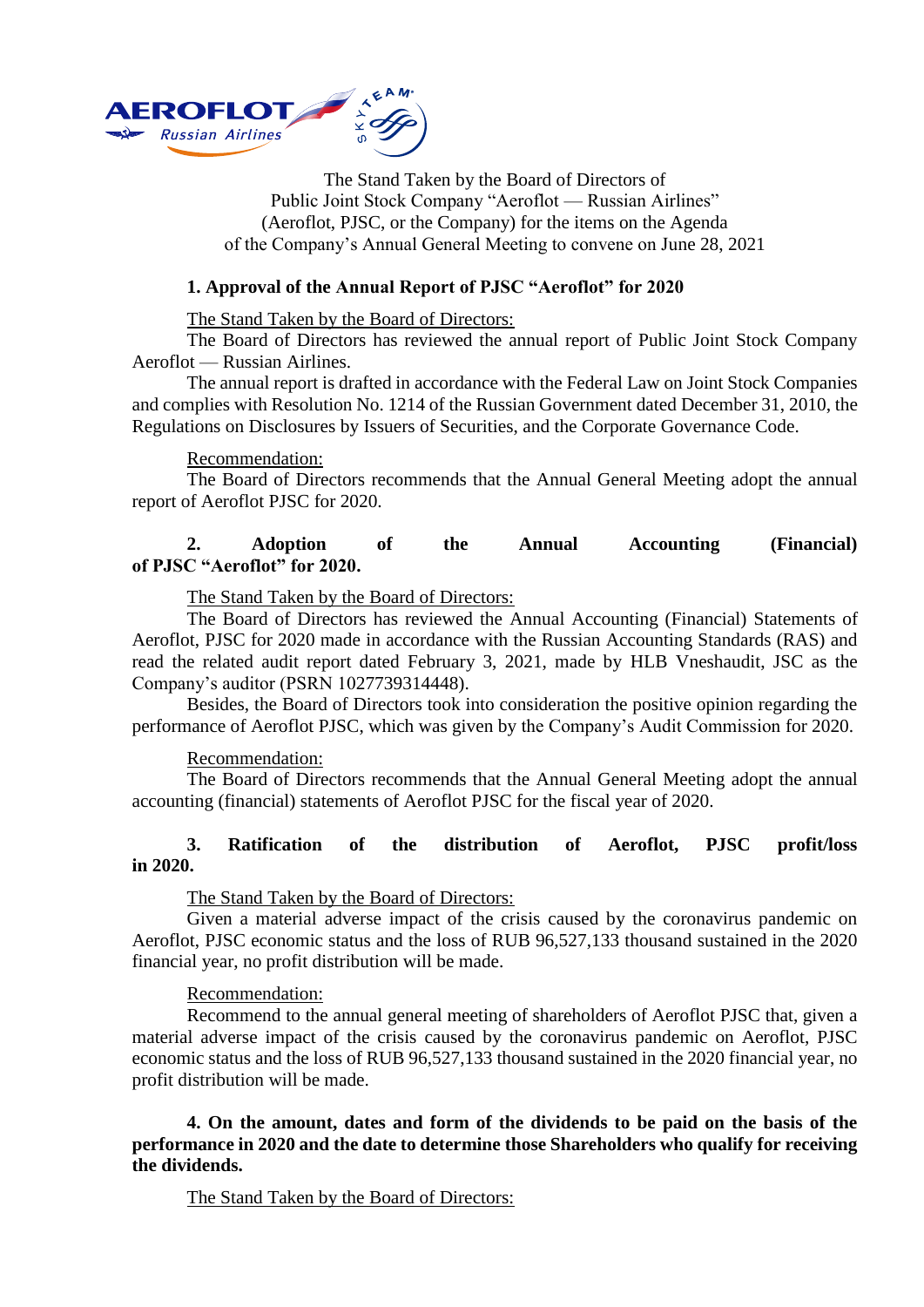

The Stand Taken by the Board of Directors of Public Joint Stock Company "Aeroflot — Russian Airlines" (Aeroflot, PJSC, or the Company) for the items on the Agenda of the Company's Annual General Meeting to convene on June 28, 2021

## **1. Approval of the Annual Report of PJSC "Aeroflot" for 2020**

The Stand Taken by the Board of Directors:

The Board of Directors has reviewed the annual report of Public Joint Stock Company Aeroflot — Russian Airlines.

The annual report is drafted in accordance with the Federal Law on Joint Stock Companies and complies with Resolution No. 1214 of the Russian Government dated December 31, 2010, the Regulations on Disclosures by Issuers of Securities, and the Corporate Governance Code.

### Recommendation:

The Board of Directors recommends that the Annual General Meeting adopt the annual report of Aeroflot PJSC for 2020.

# **2. Adoption of the Annual Accounting (Financial) of PJSC "Aeroflot" for 2020.**

The Stand Taken by the Board of Directors:

The Board of Directors has reviewed the Annual Accounting (Financial) Statements of Aeroflot, PJSC for 2020 made in accordance with the Russian Accounting Standards (RAS) and read the related audit report dated February 3, 2021, made by HLB Vneshaudit, JSC as the Company's auditor (PSRN 1027739314448).

Besides, the Board of Directors took into consideration the positive opinion regarding the performance of Aeroflot PJSC, which was given by the Company's Audit Commission for 2020.

### Recommendation:

The Board of Directors recommends that the Annual General Meeting adopt the annual accounting (financial) statements of Aeroflot PJSC for the fiscal year of 2020.

# **3. Ratification of the distribution of Aeroflot, PJSC profit/loss in 2020.**

### The Stand Taken by the Board of Directors:

Given a material adverse impact of the crisis caused by the coronavirus pandemic on Aeroflot, PJSC economic status and the loss of RUB 96,527,133 thousand sustained in the 2020 financial year, no profit distribution will be made.

### Recommendation:

Recommend to the annual general meeting of shareholders of Aeroflot PJSC that, given a material adverse impact of the crisis caused by the coronavirus pandemic on Aeroflot, PJSC economic status and the loss of RUB 96,527,133 thousand sustained in the 2020 financial year, no profit distribution will be made.

**4. On the amount, dates and form of the dividends to be paid on the basis of the performance in 2020 and the date to determine those Shareholders who qualify for receiving the dividends.**

The Stand Taken by the Board of Directors: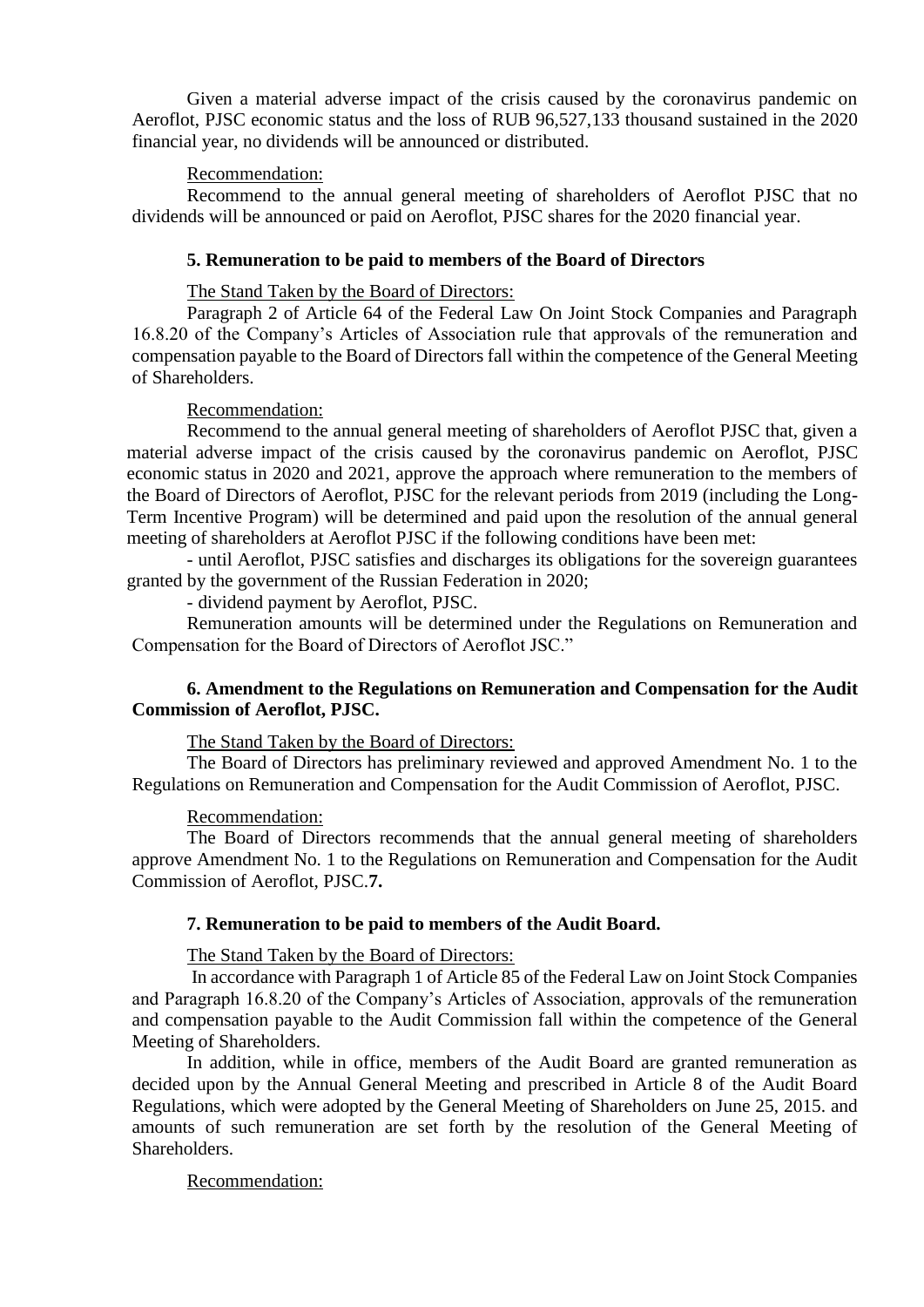Given a material adverse impact of the crisis caused by the coronavirus pandemic on Aeroflot, PJSC economic status and the loss of RUB 96,527,133 thousand sustained in the 2020 financial year, no dividends will be announced or distributed.

## Recommendation:

Recommend to the annual general meeting of shareholders of Aeroflot PJSC that no dividends will be announced or paid on Aeroflot, PJSC shares for the 2020 financial year.

### **5. Remuneration to be paid to members of the Board of Directors**

The Stand Taken by the Board of Directors:

Paragraph 2 of Article 64 of the Federal Law On Joint Stock Companies and Paragraph 16.8.20 of the Company's Articles of Association rule that approvals of the remuneration and compensation payable to the Board of Directors fall within the competence of the General Meeting of Shareholders.

### Recommendation:

Recommend to the annual general meeting of shareholders of Aeroflot PJSC that, given a material adverse impact of the crisis caused by the coronavirus pandemic on Aeroflot, PJSC economic status in 2020 and 2021, approve the approach where remuneration to the members of the Board of Directors of Aeroflot, PJSC for the relevant periods from 2019 (including the Long-Term Incentive Program) will be determined and paid upon the resolution of the annual general meeting of shareholders at Aeroflot PJSC if the following conditions have been met:

- until Aeroflot, PJSC satisfies and discharges its obligations for the sovereign guarantees granted by the government of the Russian Federation in 2020;

- dividend payment by Aeroflot, PJSC.

Remuneration amounts will be determined under the Regulations on Remuneration and Compensation for the Board of Directors of Aeroflot JSC."

### **6. Amendment to the Regulations on Remuneration and Compensation for the Audit Commission of Aeroflot, PJSC.**

The Stand Taken by the Board of Directors:

The Board of Directors has preliminary reviewed and approved Amendment No. 1 to the Regulations on Remuneration and Compensation for the Audit Commission of Aeroflot, PJSC.

## Recommendation:

The Board of Directors recommends that the annual general meeting of shareholders approve Amendment No. 1 to the Regulations on Remuneration and Compensation for the Audit Commission of Aeroflot, PJSC.**7.** 

#### **7. Remuneration to be paid to members of the Audit Board.**

### The Stand Taken by the Board of Directors:

In accordance with Paragraph 1 of Article 85 of the Federal Law on Joint Stock Companies and Paragraph 16.8.20 of the Company's Articles of Association, approvals of the remuneration and compensation payable to the Audit Commission fall within the competence of the General Meeting of Shareholders.

In addition, while in office, members of the Audit Board are granted remuneration as decided upon by the Annual General Meeting and prescribed in Article 8 of the Audit Board Regulations, which were adopted by the General Meeting of Shareholders on June 25, 2015. and amounts of such remuneration are set forth by the resolution of the General Meeting of Shareholders.

# Recommendation: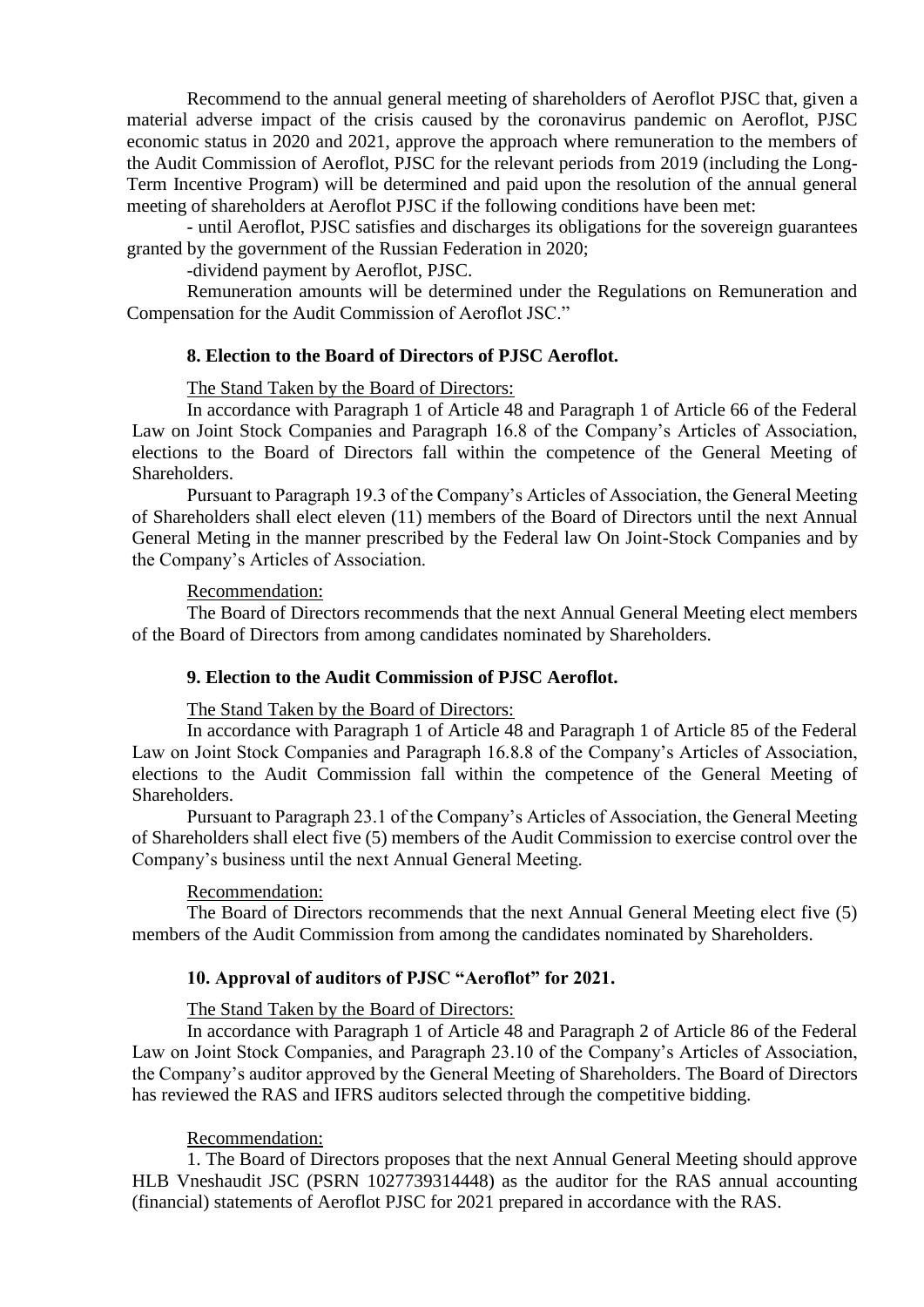Recommend to the annual general meeting of shareholders of Aeroflot PJSC that, given a material adverse impact of the crisis caused by the coronavirus pandemic on Aeroflot, PJSC economic status in 2020 and 2021, approve the approach where remuneration to the members of the Audit Commission of Aeroflot, PJSC for the relevant periods from 2019 (including the Long-Term Incentive Program) will be determined and paid upon the resolution of the annual general meeting of shareholders at Aeroflot PJSC if the following conditions have been met:

- until Aeroflot, PJSC satisfies and discharges its obligations for the sovereign guarantees granted by the government of the Russian Federation in 2020;

-dividend payment by Aeroflot, PJSC.

Remuneration amounts will be determined under the Regulations on Remuneration and Compensation for the Audit Commission of Aeroflot JSC."

# **8. Election to the Board of Directors of PJSC Aeroflot.**

The Stand Taken by the Board of Directors:

In accordance with Paragraph 1 of Article 48 and Paragraph 1 of Article 66 of the Federal Law on Joint Stock Companies and Paragraph 16.8 of the Company's Articles of Association, elections to the Board of Directors fall within the competence of the General Meeting of Shareholders.

Pursuant to Paragraph 19.3 of the Company's Articles of Association, the General Meeting of Shareholders shall elect eleven (11) members of the Board of Directors until the next Annual General Meting in the manner prescribed by the Federal law On Joint-Stock Companies and by the Company's Articles of Association.

#### Recommendation:

The Board of Directors recommends that the next Annual General Meeting elect members of the Board of Directors from among candidates nominated by Shareholders.

### **9. Election to the Audit Commission of PJSC Aeroflot.**

The Stand Taken by the Board of Directors:

In accordance with Paragraph 1 of Article 48 and Paragraph 1 of Article 85 of the Federal Law on Joint Stock Companies and Paragraph 16.8.8 of the Company's Articles of Association, elections to the Audit Commission fall within the competence of the General Meeting of Shareholders.

Pursuant to Paragraph 23.1 of the Company's Articles of Association, the General Meeting of Shareholders shall elect five (5) members of the Audit Commission to exercise control over the Company's business until the next Annual General Meeting.

### Recommendation:

The Board of Directors recommends that the next Annual General Meeting elect five (5) members of the Audit Commission from among the candidates nominated by Shareholders.

### **10. Approval of auditors of PJSC "Aeroflot" for 2021.**

The Stand Taken by the Board of Directors:

In accordance with Paragraph 1 of Article 48 and Paragraph 2 of Article 86 of the Federal Law on Joint Stock Companies, and Paragraph 23.10 of the Company's Articles of Association, the Company's auditor approved by the General Meeting of Shareholders. The Board of Directors has reviewed the RAS and IFRS auditors selected through the competitive bidding.

#### Recommendation:

1. The Board of Directors proposes that the next Annual General Meeting should approve HLB Vneshaudit JSC (PSRN 1027739314448) as the auditor for the RAS annual accounting (financial) statements of Aeroflot PJSC for 2021 prepared in accordance with the RAS.